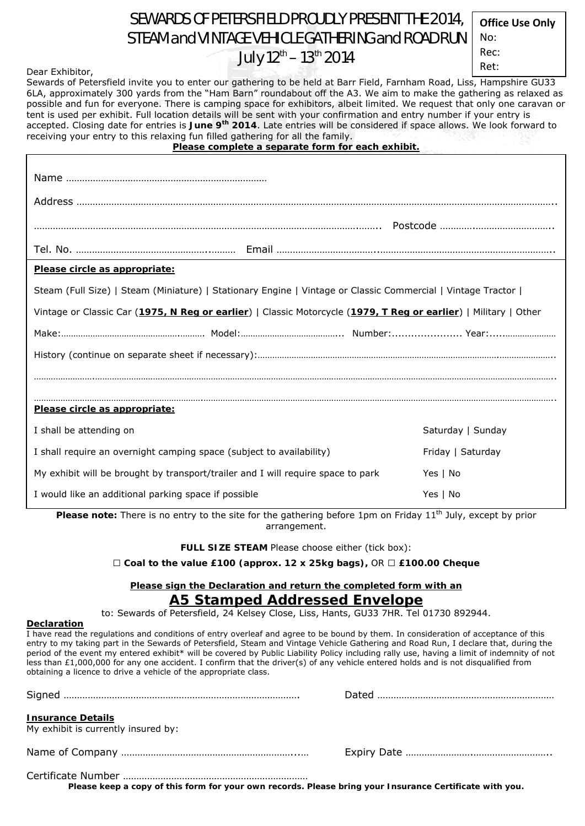## SEWARDS OF PETERSFIELD PROUDLY PRESENT THE 2014, STEAM and VINTAGE VEHICLE GATHERING and ROAD RUN July  $12^{th}$  –  $13^{th}$  2014

| <b>Office Use Only</b> |
|------------------------|
| No:                    |
| Rec:                   |
| $D \cap$               |

| Dear Exhibitor,                                                                                                                                                                                                                                                                                                                                                                                                                                                          | $\sim$ $\sim$                                     | Ret:                                                                                                                                                                                                                                            |
|--------------------------------------------------------------------------------------------------------------------------------------------------------------------------------------------------------------------------------------------------------------------------------------------------------------------------------------------------------------------------------------------------------------------------------------------------------------------------|---------------------------------------------------|-------------------------------------------------------------------------------------------------------------------------------------------------------------------------------------------------------------------------------------------------|
| Sewards of Petersfield invite you to enter our gathering to be held at Barr Field, Farnham Road, Liss, Hampshire GU33<br>tent is used per exhibit. Full location details will be sent with your confirmation and entry number if your entry is<br>accepted. Closing date for entries is June 9 <sup>th</sup> 2014. Late entries will be considered if space allows. We look forward to<br>receiving your entry to this relaxing fun filled gathering for all the family. | Please complete a separate form for each exhibit. | 6LA, approximately 300 yards from the "Ham Barn" roundabout off the A3. We aim to make the gathering as relaxed as<br>possible and fun for everyone. There is camping space for exhibitors, albeit limited. We request that only one caravan or |
|                                                                                                                                                                                                                                                                                                                                                                                                                                                                          |                                                   |                                                                                                                                                                                                                                                 |
|                                                                                                                                                                                                                                                                                                                                                                                                                                                                          |                                                   |                                                                                                                                                                                                                                                 |
|                                                                                                                                                                                                                                                                                                                                                                                                                                                                          |                                                   |                                                                                                                                                                                                                                                 |
|                                                                                                                                                                                                                                                                                                                                                                                                                                                                          |                                                   |                                                                                                                                                                                                                                                 |
|                                                                                                                                                                                                                                                                                                                                                                                                                                                                          |                                                   |                                                                                                                                                                                                                                                 |
| Please circle as appropriate:                                                                                                                                                                                                                                                                                                                                                                                                                                            |                                                   |                                                                                                                                                                                                                                                 |
| Steam (Full Size)   Steam (Miniature)   Stationary Engine   Vintage or Classic Commercial   Vintage Tractor                                                                                                                                                                                                                                                                                                                                                              |                                                   |                                                                                                                                                                                                                                                 |
| Vintage or Classic Car (1975, N Reg or earlier)   Classic Motorcycle (1979, T Reg or earlier)   Military   Other                                                                                                                                                                                                                                                                                                                                                         |                                                   |                                                                                                                                                                                                                                                 |
|                                                                                                                                                                                                                                                                                                                                                                                                                                                                          |                                                   |                                                                                                                                                                                                                                                 |
|                                                                                                                                                                                                                                                                                                                                                                                                                                                                          |                                                   |                                                                                                                                                                                                                                                 |
|                                                                                                                                                                                                                                                                                                                                                                                                                                                                          |                                                   |                                                                                                                                                                                                                                                 |
| Please circle as appropriate:                                                                                                                                                                                                                                                                                                                                                                                                                                            |                                                   |                                                                                                                                                                                                                                                 |
| I shall be attending on                                                                                                                                                                                                                                                                                                                                                                                                                                                  |                                                   | Saturday   Sunday                                                                                                                                                                                                                               |
| I shall require an overnight camping space (subject to availability)                                                                                                                                                                                                                                                                                                                                                                                                     |                                                   | Friday   Saturday                                                                                                                                                                                                                               |
| My exhibit will be brought by transport/trailer and I will require space to park                                                                                                                                                                                                                                                                                                                                                                                         |                                                   | Yes   No                                                                                                                                                                                                                                        |
| I would like an additional parking space if possible                                                                                                                                                                                                                                                                                                                                                                                                                     | Yes   No                                          |                                                                                                                                                                                                                                                 |

**Please note:** There is no entry to the site for the gathering before 1pm on Friday 11<sup>th</sup> July, except by prior arrangement.

**FULL SIZE STEAM** Please choose either (tick box):

□ *Coal to the value £100 (approx. 12 x 25kg bags), OR* □ *£100.00 Cheque*

## **Please sign the Declaration and return the completed form with an**  *A5 Stamped Addressed Envelope*

to: Sewards of Petersfield, 24 Kelsey Close, Liss, Hants, GU33 7HR. Tel 01730 892944.

## **Declaration**

I have read the regulations and conditions of entry overleaf and agree to be bound by them. In consideration of acceptance of this entry to my taking part in the Sewards of Petersfield, Steam and Vintage Vehicle Gathering and Road Run, I declare that, during the period of the event my entered exhibit\* will be covered by Public Liability Policy including rally use, having a limit of indemnity of not less than £1,000,000 for any one accident. I confirm that the driver(s) of any vehicle entered holds and is not disqualified from obtaining a licence to drive a vehicle of the appropriate class.

| <b>Insurance Details</b><br>My exhibit is currently insured by: |  |
|-----------------------------------------------------------------|--|
|                                                                 |  |
|                                                                 |  |

**Please keep a copy of this form for your own records. Please bring your Insurance Certificate with you.**